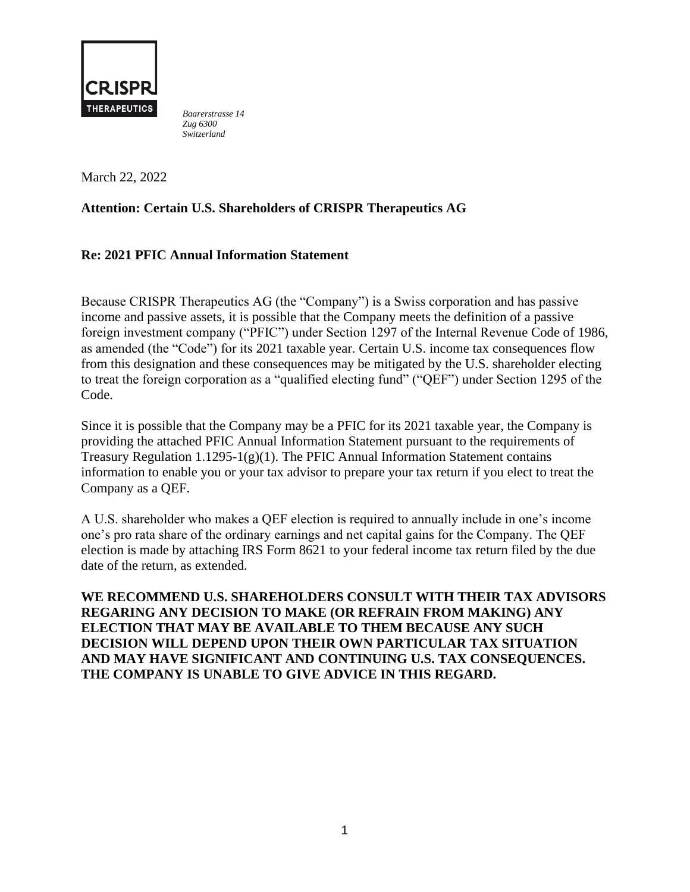

*Baarerstrasse 14 Zug 6300 Switzerland* 

March 22, 2022

# **Attention: Certain U.S. Shareholders of CRISPR Therapeutics AG**

## **Re: 2021 PFIC Annual Information Statement**

Because CRISPR Therapeutics AG (the "Company") is a Swiss corporation and has passive income and passive assets, it is possible that the Company meets the definition of a passive foreign investment company ("PFIC") under Section 1297 of the Internal Revenue Code of 1986, as amended (the "Code") for its 2021 taxable year. Certain U.S. income tax consequences flow from this designation and these consequences may be mitigated by the U.S. shareholder electing to treat the foreign corporation as a "qualified electing fund" ("QEF") under Section 1295 of the Code.

Since it is possible that the Company may be a PFIC for its 2021 taxable year, the Company is providing the attached PFIC Annual Information Statement pursuant to the requirements of Treasury Regulation  $1.1295-1(g)(1)$ . The PFIC Annual Information Statement contains information to enable you or your tax advisor to prepare your tax return if you elect to treat the Company as a QEF.

A U.S. shareholder who makes a QEF election is required to annually include in one's income one's pro rata share of the ordinary earnings and net capital gains for the Company. The QEF election is made by attaching IRS Form 8621 to your federal income tax return filed by the due date of the return, as extended.

**WE RECOMMEND U.S. SHAREHOLDERS CONSULT WITH THEIR TAX ADVISORS REGARING ANY DECISION TO MAKE (OR REFRAIN FROM MAKING) ANY ELECTION THAT MAY BE AVAILABLE TO THEM BECAUSE ANY SUCH DECISION WILL DEPEND UPON THEIR OWN PARTICULAR TAX SITUATION AND MAY HAVE SIGNIFICANT AND CONTINUING U.S. TAX CONSEQUENCES. THE COMPANY IS UNABLE TO GIVE ADVICE IN THIS REGARD.**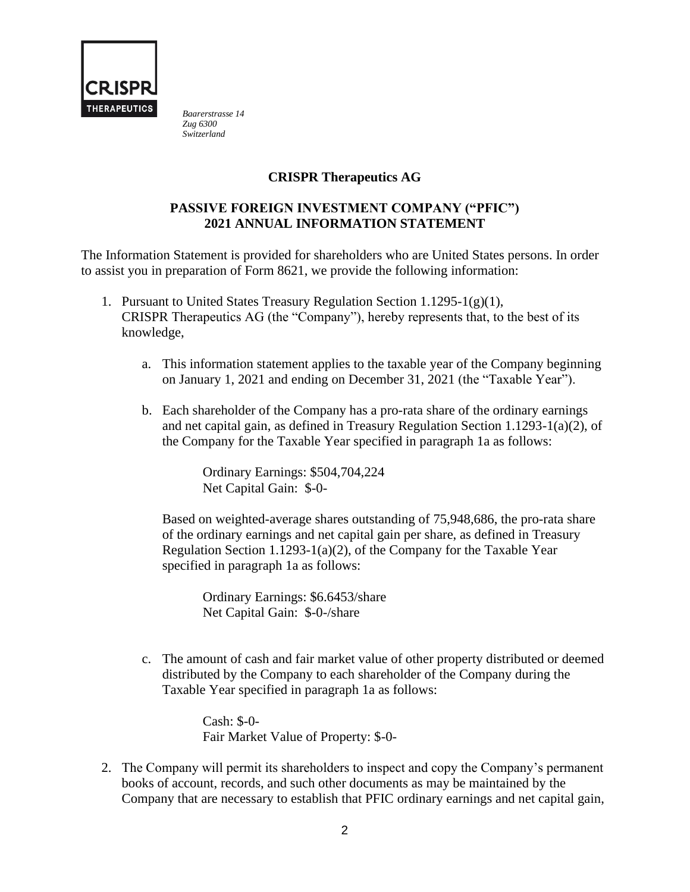

*Baarerstrasse 14 Zug 6300 Switzerland* 

## **CRISPR Therapeutics AG**

### **PASSIVE FOREIGN INVESTMENT COMPANY ("PFIC") 2021 ANNUAL INFORMATION STATEMENT**

The Information Statement is provided for shareholders who are United States persons. In order to assist you in preparation of Form 8621, we provide the following information:

- 1. Pursuant to United States Treasury Regulation Section 1.1295-1(g)(1), CRISPR Therapeutics AG (the "Company"), hereby represents that, to the best of its knowledge,
	- a. This information statement applies to the taxable year of the Company beginning on January 1, 2021 and ending on December 31, 2021 (the "Taxable Year").
	- b. Each shareholder of the Company has a pro-rata share of the ordinary earnings and net capital gain, as defined in Treasury Regulation Section 1.1293-1(a)(2), of the Company for the Taxable Year specified in paragraph 1a as follows:

Ordinary Earnings: \$504,704,224 Net Capital Gain: \$-0-

Based on weighted-average shares outstanding of 75,948,686, the pro-rata share of the ordinary earnings and net capital gain per share, as defined in Treasury Regulation Section 1.1293-1(a)(2), of the Company for the Taxable Year specified in paragraph 1a as follows:

Ordinary Earnings: \$6.6453/share Net Capital Gain: \$-0-/share

c. The amount of cash and fair market value of other property distributed or deemed distributed by the Company to each shareholder of the Company during the Taxable Year specified in paragraph 1a as follows:

> Cash: \$-0- Fair Market Value of Property: \$-0-

2. The Company will permit its shareholders to inspect and copy the Company's permanent books of account, records, and such other documents as may be maintained by the Company that are necessary to establish that PFIC ordinary earnings and net capital gain,